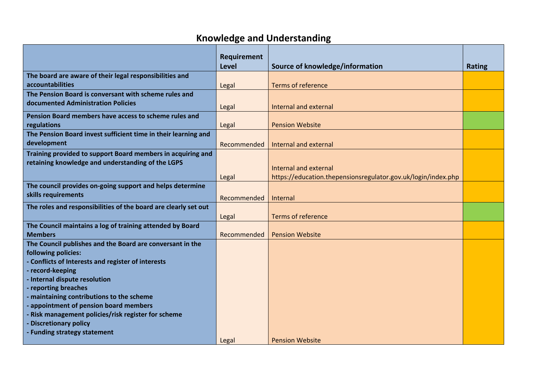## **Knowledge and Understanding**

|                                                                 | Requirement  |                                                               |               |
|-----------------------------------------------------------------|--------------|---------------------------------------------------------------|---------------|
|                                                                 | <b>Level</b> | Source of knowledge/information                               | <b>Rating</b> |
| The board are aware of their legal responsibilities and         |              |                                                               |               |
| accountabilities                                                | Legal        | <b>Terms of reference</b>                                     |               |
| The Pension Board is conversant with scheme rules and           |              |                                                               |               |
| documented Administration Policies                              | Legal        | Internal and external                                         |               |
| Pension Board members have access to scheme rules and           |              |                                                               |               |
| regulations                                                     | Legal        | <b>Pension Website</b>                                        |               |
| The Pension Board invest sufficient time in their learning and  |              |                                                               |               |
| development                                                     |              |                                                               |               |
|                                                                 | Recommended  | Internal and external                                         |               |
| Training provided to support Board members in acquiring and     |              |                                                               |               |
| retaining knowledge and understanding of the LGPS               |              | Internal and external                                         |               |
|                                                                 | Legal        | https://education.thepensionsregulator.gov.uk/login/index.php |               |
| The council provides on-going support and helps determine       |              |                                                               |               |
| skills requirements                                             |              |                                                               |               |
|                                                                 | Recommended  | Internal                                                      |               |
| The roles and responsibilities of the board are clearly set out |              |                                                               |               |
|                                                                 | Legal        | <b>Terms of reference</b>                                     |               |
| The Council maintains a log of training attended by Board       |              |                                                               |               |
| <b>Members</b>                                                  | Recommended  | <b>Pension Website</b>                                        |               |
| The Council publishes and the Board are conversant in the       |              |                                                               |               |
| following policies:                                             |              |                                                               |               |
| - Conflicts of Interests and register of interests              |              |                                                               |               |
| - record-keeping                                                |              |                                                               |               |
| - Internal dispute resolution                                   |              |                                                               |               |
| - reporting breaches                                            |              |                                                               |               |
| - maintaining contributions to the scheme                       |              |                                                               |               |
| - appointment of pension board members                          |              |                                                               |               |
| - Risk management policies/risk register for scheme             |              |                                                               |               |
| <b>Discretionary policy</b>                                     |              |                                                               |               |
| <b>Funding strategy statement</b>                               |              |                                                               |               |
|                                                                 | Legal        | <b>Pension Website</b>                                        |               |